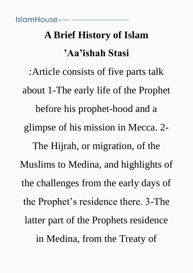# **A Brief History of Islam 'Aa'ishah Stasi**

:Article consists of five parts talk about 1-The early life of the Prophet before his prophet-hood and a glimpse of his mission in Mecca. 2- The Hijrah, or migration, of the Muslims to Medina, and highlights of the challenges from the early days of the Prophet's residence there. 3-The latter part of the Prophets residence in Medina, from the Treaty of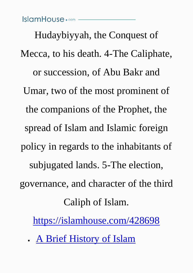#### IslamHouse.com ————

Hudaybiyyah, the Conquest of Mecca, to his death. 4-The Caliphate, or succession, of Abu Bakr and Umar, two of the most prominent of the companions of the Prophet, the spread of Islam and Islamic foreign policy in regards to the inhabitants of subjugated lands. 5-The election, governance, and character of the third Caliph of Islam.

<https://islamhouse.com/428698>

• [A Brief History of Islam](#page-2-0)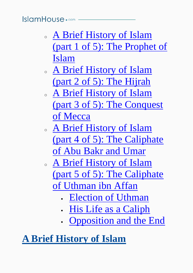# $IslcmHouse \cdot \circ m -$

- <sup>o</sup> [A Brief History of Islam](#page-3-0)  [\(part 1 of 5\): The Prophet of](#page-3-0)  [Islam](#page-3-0)
- <sup>o</sup> [A Brief History of Islam](#page-9-0)  [\(part 2 of 5\): The Hijrah](#page-9-0)
- <sup>o</sup> [A Brief History of Islam](#page-16-0)  [\(part 3 of 5\): The Conquest](#page-16-0)  [of Mecca](#page-16-0)
- <sup>o</sup> [A Brief History of Islam](#page-22-0)  [\(part 4 of 5\): The Caliphate](#page-22-0)  [of Abu Bakr and Umar](#page-22-0)
- <sup>o</sup> [A Brief History of Islam](#page-32-0)  [\(part 5 of 5\): The Caliphate](#page-32-0)  [of Uthman ibn Affan](#page-32-0)
	- [Election of Uthman](#page-32-1)
	- [His Life as a Caliph](#page-35-0)
	- [Opposition and the End](#page-37-0)

# <span id="page-2-0"></span>**[A Brief History of Islam](#page-2-0)**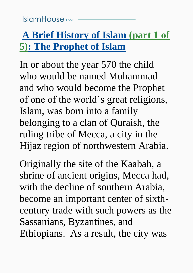# <span id="page-3-0"></span>**[A Brief History of Islam \(part 1 of](#page-3-0)  [5\): The Prophet of Islam](#page-3-0)**

In or about the year 570 the child who would be named Muhammad and who would become the Prophet of one of the world's great religions, Islam, was born into a family belonging to a clan of Quraish, the ruling tribe of Mecca, a city in the Hijaz region of northwestern Arabia.

Originally the site of the Kaabah, a shrine of ancient origins, Mecca had, with the decline of southern Arabia, become an important center of sixthcentury trade with such powers as the Sassanians, Byzantines, and Ethiopians. As a result, the city was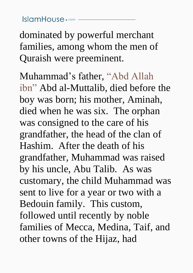dominated by powerful merchant families, among whom the men of Quraish were preeminent.

Muhammad's father, "Abd Allah ibn" Abd al-Muttalib, died before the boy was born; his mother, Aminah, died when he was six. The orphan was consigned to the care of his grandfather, the head of the clan of Hashim. After the death of his grandfather, Muhammad was raised by his uncle, Abu Talib. As was customary, the child Muhammad was sent to live for a year or two with a Bedouin family. This custom, followed until recently by noble families of Mecca, Medina, Taif, and other towns of the Hijaz, had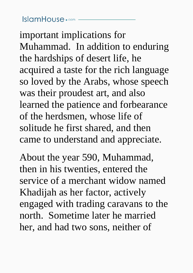important implications for Muhammad. In addition to enduring the hardships of desert life, he acquired a taste for the rich language so loved by the Arabs, whose speech was their proudest art, and also learned the patience and forbearance of the herdsmen, whose life of solitude he first shared, and then came to understand and appreciate.

About the year 590, Muhammad, then in his twenties, entered the service of a merchant widow named Khadijah as her factor, actively engaged with trading caravans to the north. Sometime later he married her, and had two sons, neither of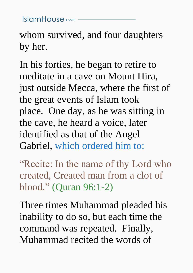$lslcmHouse \cdot \text{com}$  –

whom survived, and four daughters by her.

In his forties, he began to retire to meditate in a cave on Mount Hira, just outside Mecca, where the first of the great events of Islam took place. One day, as he was sitting in the cave, he heard a voice, later identified as that of the Angel Gabriel, which ordered him to:

"Recite: In the name of thy Lord who created, Created man from a clot of blood." (Quran 96:1-2)

Three times Muhammad pleaded his inability to do so, but each time the command was repeated. Finally, Muhammad recited the words of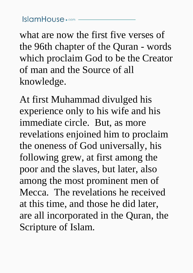what are now the first five verses of the 96th chapter of the Quran - words which proclaim God to be the Creator of man and the Source of all knowledge.

At first Muhammad divulged his experience only to his wife and his immediate circle. But, as more revelations enjoined him to proclaim the oneness of God universally, his following grew, at first among the poor and the slaves, but later, also among the most prominent men of Mecca. The revelations he received at this time, and those he did later, are all incorporated in the Quran, the Scripture of Islam.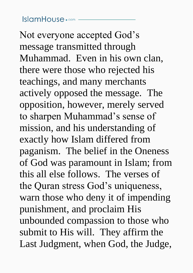Not everyone accepted God's message transmitted through Muhammad. Even in his own clan, there were those who rejected his teachings, and many merchants actively opposed the message. The opposition, however, merely served to sharpen Muhammad's sense of mission, and his understanding of exactly how Islam differed from paganism. The belief in the Oneness of God was paramount in Islam; from this all else follows. The verses of the Quran stress God's uniqueness, warn those who deny it of impending punishment, and proclaim His unbounded compassion to those who submit to His will. They affirm the Last Judgment, when God, the Judge,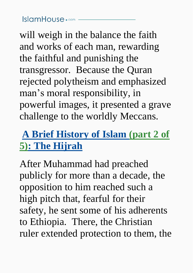$lslcmHouse \cdot \text{com}$  —

will weigh in the balance the faith and works of each man, rewarding the faithful and punishing the transgressor. Because the Quran rejected polytheism and emphasized man's moral responsibility, in powerful images, it presented a grave challenge to the worldly Meccans.

# <span id="page-9-0"></span>**[A Brief History of Islam \(part 2 of](#page-9-0)  [5\): The Hijrah](#page-9-0)**

After Muhammad had preached publicly for more than a decade, the opposition to him reached such a high pitch that, fearful for their safety, he sent some of his adherents to Ethiopia. There, the Christian ruler extended protection to them, the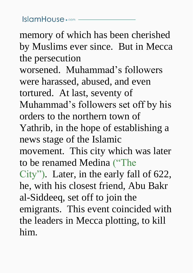$lslcmHouse \cdot \circ m$  –

memory of which has been cherished by Muslims ever since. But in Mecca the persecution worsened. Muhammad's followers were harassed, abused, and even tortured. At last, seventy of Muhammad's followers set off by his orders to the northern town of Yathrib, in the hope of establishing a news stage of the Islamic movement. This city which was later to be renamed Medina ("The City"). Later, in the early fall of 622, he, with his closest friend, Abu Bakr al-Siddeeq, set off to join the emigrants. This event coincided with the leaders in Mecca plotting, to kill him.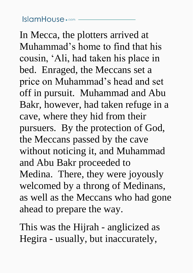In Mecca, the plotters arrived at Muhammad's home to find that his cousin, 'Ali, had taken his place in bed. Enraged, the Meccans set a price on Muhammad's head and set off in pursuit. Muhammad and Abu Bakr, however, had taken refuge in a cave, where they hid from their pursuers. By the protection of God, the Meccans passed by the cave without noticing it, and Muhammad and Abu Bakr proceeded to Medina. There, they were joyously welcomed by a throng of Medinans, as well as the Meccans who had gone ahead to prepare the way.

This was the Hijrah - anglicized as Hegira - usually, but inaccurately,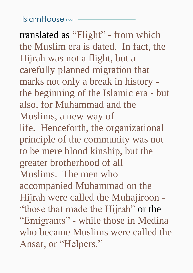#### $IslcmHouse \cdot \circ m -$

translated as "Flight" - from which the Muslim era is dated. In fact, the Hijrah was not a flight, but a carefully planned migration that marks not only a break in history the beginning of the Islamic era - but also, for Muhammad and the Muslims, a new way of life. Henceforth, the organizational principle of the community was not to be mere blood kinship, but the greater brotherhood of all Muslims. The men who accompanied Muhammad on the Hijrah were called the Muhajiroon - "those that made the Hijrah" or the "Emigrants" - while those in Medina who became Muslims were called the Ansar, or "Helpers."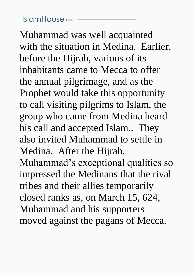Muhammad was well acquainted with the situation in Medina. Earlier, before the Hijrah, various of its inhabitants came to Mecca to offer the annual pilgrimage, and as the Prophet would take this opportunity to call visiting pilgrims to Islam, the group who came from Medina heard his call and accepted Islam.. They also invited Muhammad to settle in Medina. After the Hijrah, Muhammad's exceptional qualities so impressed the Medinans that the rival tribes and their allies temporarily closed ranks as, on March 15, 624, Muhammad and his supporters moved against the pagans of Mecca.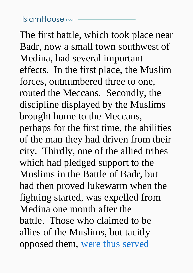The first battle, which took place near Badr, now a small town southwest of Medina, had several important effects. In the first place, the Muslim forces, outnumbered three to one, routed the Meccans. Secondly, the discipline displayed by the Muslims brought home to the Meccans, perhaps for the first time, the abilities of the man they had driven from their city. Thirdly, one of the allied tribes which had pledged support to the Muslims in the Battle of Badr, but had then proved lukewarm when the fighting started, was expelled from Medina one month after the battle. Those who claimed to be allies of the Muslims, but tacitly opposed them, were thus served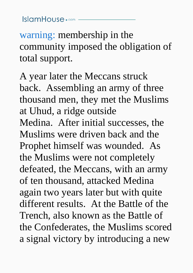$lslcmHouse \cdot \circ m -$ 

warning: membership in the community imposed the obligation of total support.

A year later the Meccans struck back. Assembling an army of three thousand men, they met the Muslims at Uhud, a ridge outside Medina. After initial successes, the Muslims were driven back and the Prophet himself was wounded. As the Muslims were not completely defeated, the Meccans, with an army of ten thousand, attacked Medina again two years later but with quite different results. At the Battle of the Trench, also known as the Battle of the Confederates, the Muslims scored a signal victory by introducing a new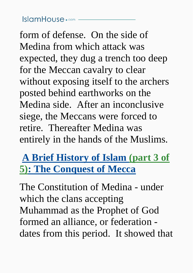# $lslcmHouse \cdot \text{com}$  —

form of defense. On the side of Medina from which attack was expected, they dug a trench too deep for the Meccan cavalry to clear without exposing itself to the archers posted behind earthworks on the Medina side. After an inconclusive siege, the Meccans were forced to retire. Thereafter Medina was entirely in the hands of the Muslims.

# <span id="page-16-0"></span>**[A Brief History of Islam \(part 3 of](#page-16-0)  [5\): The Conquest of Mecca](#page-16-0)**

The Constitution of Medina - under which the clans accepting Muhammad as the Prophet of God formed an alliance, or federation dates from this period. It showed that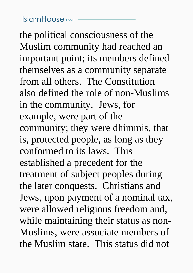the political consciousness of the Muslim community had reached an important point; its members defined themselves as a community separate from all others. The Constitution also defined the role of non-Muslims in the community. Jews, for example, were part of the community; they were dhimmis, that is, protected people, as long as they conformed to its laws. This established a precedent for the treatment of subject peoples during the later conquests. Christians and Jews, upon payment of a nominal tax, were allowed religious freedom and, while maintaining their status as non-Muslims, were associate members of the Muslim state. This status did not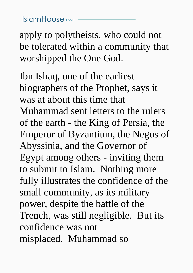### $lslcmHouse \cdot \circ m$  –

apply to polytheists, who could not be tolerated within a community that worshipped the One God.

Ibn Ishaq, one of the earliest biographers of the Prophet, says it was at about this time that Muhammad sent letters to the rulers of the earth - the King of Persia, the Emperor of Byzantium, the Negus of Abyssinia, and the Governor of Egypt among others - inviting them to submit to Islam. Nothing more fully illustrates the confidence of the small community, as its military power, despite the battle of the Trench, was still negligible. But its confidence was not misplaced. Muhammad so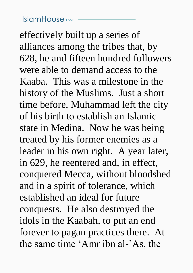effectively built up a series of alliances among the tribes that, by 628, he and fifteen hundred followers were able to demand access to the Kaaba. This was a milestone in the history of the Muslims. Just a short time before, Muhammad left the city of his birth to establish an Islamic state in Medina. Now he was being treated by his former enemies as a leader in his own right. A year later, in 629, he reentered and, in effect, conquered Mecca, without bloodshed and in a spirit of tolerance, which established an ideal for future conquests. He also destroyed the idols in the Kaabah, to put an end forever to pagan practices there. At the same time 'Amr ibn al-'As, the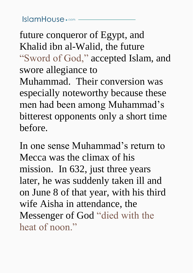future conqueror of Egypt, and Khalid ibn al-Walid, the future "Sword of God," accepted Islam, and swore allegiance to Muhammad. Their conversion was especially noteworthy because these men had been among Muhammad's bitterest opponents only a short time before.

In one sense Muhammad's return to Mecca was the climax of his mission. In 632, just three years later, he was suddenly taken ill and on June 8 of that year, with his third wife Aisha in attendance, the Messenger of God "died with the heat of noon."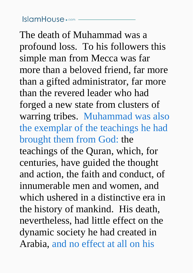The death of Muhammad was a profound loss. To his followers this simple man from Mecca was far more than a beloved friend, far more than a gifted administrator, far more than the revered leader who had forged a new state from clusters of warring tribes. Muhammad was also the exemplar of the teachings he had brought them from God: the teachings of the Quran, which, for centuries, have guided the thought and action, the faith and conduct, of innumerable men and women, and which ushered in a distinctive era in the history of mankind. His death, nevertheless, had little effect on the dynamic society he had created in Arabia, and no effect at all on his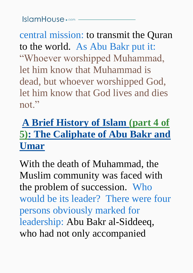$lslcmHouse \cdot \text{com}$  –

central mission: to transmit the Quran to the world. As Abu Bakr put it: "Whoever worshipped Muhammad, let him know that Muhammad is dead, but whoever worshipped God, let him know that God lives and dies not."

# <span id="page-22-0"></span>**[A Brief History of Islam \(part 4 of](#page-22-0)  [5\): The Caliphate of Abu Bakr and](#page-22-0)  [Umar](#page-22-0)**

With the death of Muhammad, the Muslim community was faced with the problem of succession. Who would be its leader? There were four persons obviously marked for leadership: Abu Bakr al-Siddeeq, who had not only accompanied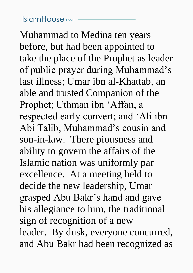Muhammad to Medina ten years before, but had been appointed to take the place of the Prophet as leader of public prayer during Muhammad's last illness; Umar ibn al-Khattab, an able and trusted Companion of the Prophet; Uthman ibn 'Affan, a respected early convert; and 'Ali ibn Abi Talib, Muhammad's cousin and son-in-law. There piousness and ability to govern the affairs of the Islamic nation was uniformly par excellence. At a meeting held to decide the new leadership, Umar grasped Abu Bakr's hand and gave his allegiance to him, the traditional sign of recognition of a new leader. By dusk, everyone concurred, and Abu Bakr had been recognized as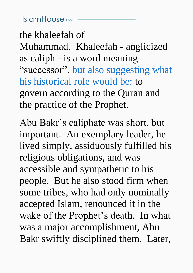$IslcmHouse \cdot \circ m -$ 

the khaleefah of Muhammad. Khaleefah - anglicized as caliph - is a word meaning "successor", but also suggesting what his historical role would be: to govern according to the Quran and the practice of the Prophet.

Abu Bakr's caliphate was short, but important. An exemplary leader, he lived simply, assiduously fulfilled his religious obligations, and was accessible and sympathetic to his people. But he also stood firm when some tribes, who had only nominally accepted Islam, renounced it in the wake of the Prophet's death. In what was a major accomplishment, Abu Bakr swiftly disciplined them. Later,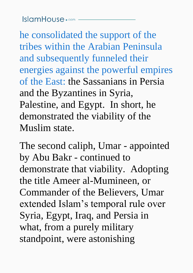$lslcmHouse \cdot \text{com}$  —

he consolidated the support of the tribes within the Arabian Peninsula and subsequently funneled their energies against the powerful empires of the East: the Sassanians in Persia and the Byzantines in Syria, Palestine, and Egypt. In short, he demonstrated the viability of the Muslim state.

The second caliph, Umar - appointed by Abu Bakr - continued to demonstrate that viability. Adopting the title Ameer al-Mumineen, or Commander of the Believers, Umar extended Islam's temporal rule over Syria, Egypt, Iraq, and Persia in what, from a purely military standpoint, were astonishing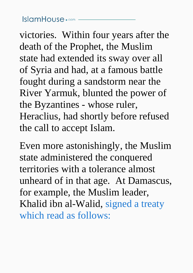victories. Within four years after the death of the Prophet, the Muslim state had extended its sway over all of Syria and had, at a famous battle fought during a sandstorm near the River Yarmuk, blunted the power of the Byzantines - whose ruler, Heraclius, had shortly before refused the call to accept Islam.

Even more astonishingly, the Muslim state administered the conquered territories with a tolerance almost unheard of in that age. At Damascus, for example, the Muslim leader, Khalid ibn al-Walid, signed a treaty which read as follows: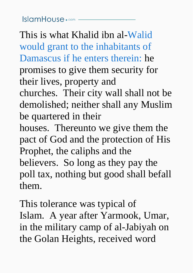This is what Khalid ibn al-Walid would grant to the inhabitants of Damascus if he enters therein: he promises to give them security for their lives, property and

churches. Their city wall shall not be demolished; neither shall any Muslim be quartered in their

houses. Thereunto we give them the pact of God and the protection of His Prophet, the caliphs and the believers. So long as they pay the poll tax, nothing but good shall befall them.

This tolerance was typical of Islam. A year after Yarmook, Umar, in the military camp of al-Jabiyah on the Golan Heights, received word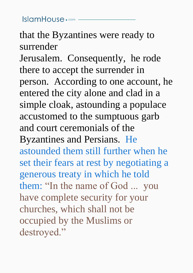$lslcmHouse \cdot \text{com}$  –

# that the Byzantines were ready to surrender

Jerusalem. Consequently, he rode there to accept the surrender in person. According to one account, he entered the city alone and clad in a simple cloak, astounding a populace accustomed to the sumptuous garb and court ceremonials of the Byzantines and Persians. He astounded them still further when he set their fears at rest by negotiating a generous treaty in which he told them: "In the name of God ... you have complete security for your churches, which shall not be occupied by the Muslims or destroyed."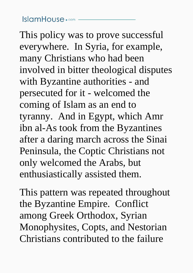$lslcmHouse \cdot \circ m$  –

This policy was to prove successful everywhere. In Syria, for example, many Christians who had been involved in bitter theological disputes with Byzantine authorities - and persecuted for it - welcomed the coming of Islam as an end to tyranny. And in Egypt, which Amr ibn al-As took from the Byzantines after a daring march across the Sinai Peninsula, the Coptic Christians not only welcomed the Arabs, but enthusiastically assisted them.

This pattern was repeated throughout the Byzantine Empire. Conflict among Greek Orthodox, Syrian Monophysites, Copts, and Nestorian Christians contributed to the failure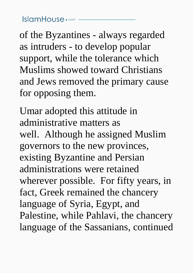$lslcmHouse \cdot \text{com}$  –

of the Byzantines - always regarded as intruders - to develop popular support, while the tolerance which Muslims showed toward Christians and Jews removed the primary cause for opposing them.

Umar adopted this attitude in administrative matters as well. Although he assigned Muslim governors to the new provinces, existing Byzantine and Persian administrations were retained wherever possible. For fifty years, in fact, Greek remained the chancery language of Syria, Egypt, and Palestine, while Pahlavi, the chancery language of the Sassanians, continued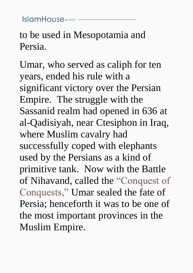$lslcmHouse \cdot \circ \circ m -$ 

to be used in Mesopotamia and Persia.

Umar, who served as caliph for ten years, ended his rule with a significant victory over the Persian Empire. The struggle with the Sassanid realm had opened in 636 at al-Qadisiyah, near Ctesiphon in Iraq, where Muslim cavalry had successfully coped with elephants used by the Persians as a kind of primitive tank. Now with the Battle of Nihavand, called the "Conquest of Conquests," Umar sealed the fate of Persia; henceforth it was to be one of the most important provinces in the Muslim Empire.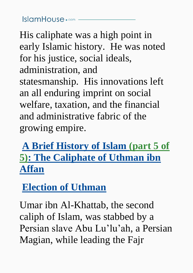His caliphate was a high point in early Islamic history. He was noted for his justice, social ideals, administration, and statesmanship. His innovations left an all enduring imprint on social welfare, taxation, and the financial and administrative fabric of the growing empire.

# <span id="page-32-0"></span>**[A Brief History of Islam \(part 5 of](#page-32-0)  [5\): The Caliphate of Uthman ibn](#page-32-0)  [Affan](#page-32-0)**

# <span id="page-32-1"></span>**[Election of Uthman](#page-32-1)**

Umar ibn Al-Khattab, the second caliph of Islam, was stabbed by a Persian slave Abu Lu'lu'ah, a Persian Magian, while leading the Fajr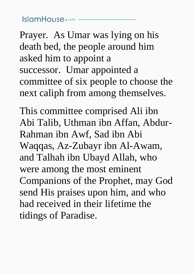Prayer. As Umar was lying on his death bed, the people around him asked him to appoint a successor. Umar appointed a committee of six people to choose the next caliph from among themselves.

This committee comprised Ali ibn Abi Talib, Uthman ibn Affan, Abdur-Rahman ibn Awf, Sad ibn Abi Waqqas, Az-Zubayr ibn Al-Awam, and Talhah ibn Ubayd Allah, who were among the most eminent Companions of the Prophet, may God send His praises upon him, and who had received in their lifetime the tidings of Paradise.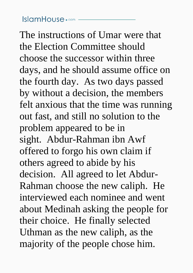$lslcmHouse \cdot \circ m$  –

The instructions of Umar were that the Election Committee should choose the successor within three days, and he should assume office on the fourth day. As two days passed by without a decision, the members felt anxious that the time was running out fast, and still no solution to the problem appeared to be in sight. Abdur-Rahman ibn Awf offered to forgo his own claim if others agreed to abide by his decision. All agreed to let Abdur-Rahman choose the new caliph. He interviewed each nominee and went about Medinah asking the people for their choice. He finally selected Uthman as the new caliph, as the majority of the people chose him.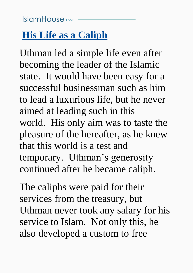### $lslcmHouse \cdot \circ \circ m -$

# <span id="page-35-0"></span>**[His Life as a Caliph](#page-35-0)**

Uthman led a simple life even after becoming the leader of the Islamic state. It would have been easy for a successful businessman such as him to lead a luxurious life, but he never aimed at leading such in this world. His only aim was to taste the pleasure of the hereafter, as he knew that this world is a test and temporary. Uthman's generosity continued after he became caliph.

The caliphs were paid for their services from the treasury, but Uthman never took any salary for his service to Islam. Not only this, he also developed a custom to free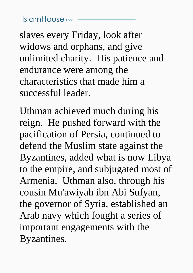$lslcmHouse \cdot \text{com}$  –

slaves every Friday, look after widows and orphans, and give unlimited charity. His patience and endurance were among the characteristics that made him a successful leader.

Uthman achieved much during his reign. He pushed forward with the pacification of Persia, continued to defend the Muslim state against the Byzantines, added what is now Libya to the empire, and subjugated most of Armenia. Uthman also, through his cousin Mu'awiyah ibn Abi Sufyan, the governor of Syria, established an Arab navy which fought a series of important engagements with the Byzantines.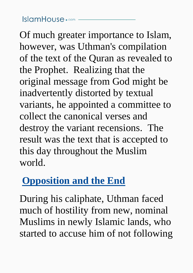# $IslcmHouse \cdot \circ m$  —

Of much greater importance to Islam, however, was Uthman's compilation of the text of the Quran as revealed to the Prophet. Realizing that the original message from God might be inadvertently distorted by textual variants, he appointed a committee to collect the canonical verses and destroy the variant recensions. The result was the text that is accepted to this day throughout the Muslim world.

# <span id="page-37-0"></span>**[Opposition and the End](#page-37-0)**

During his caliphate, Uthman faced much of hostility from new, nominal Muslims in newly Islamic lands, who started to accuse him of not following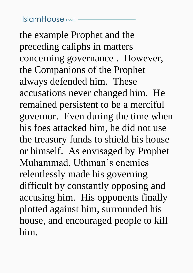### $IslcmHouse \cdot \circ m -$

the example Prophet and the preceding caliphs in matters concerning governance . However, the Companions of the Prophet always defended him. These accusations never changed him. He remained persistent to be a merciful governor. Even during the time when his foes attacked him, he did not use the treasury funds to shield his house or himself. As envisaged by Prophet Muhammad, Uthman's enemies relentlessly made his governing difficult by constantly opposing and accusing him. His opponents finally plotted against him, surrounded his house, and encouraged people to kill him.